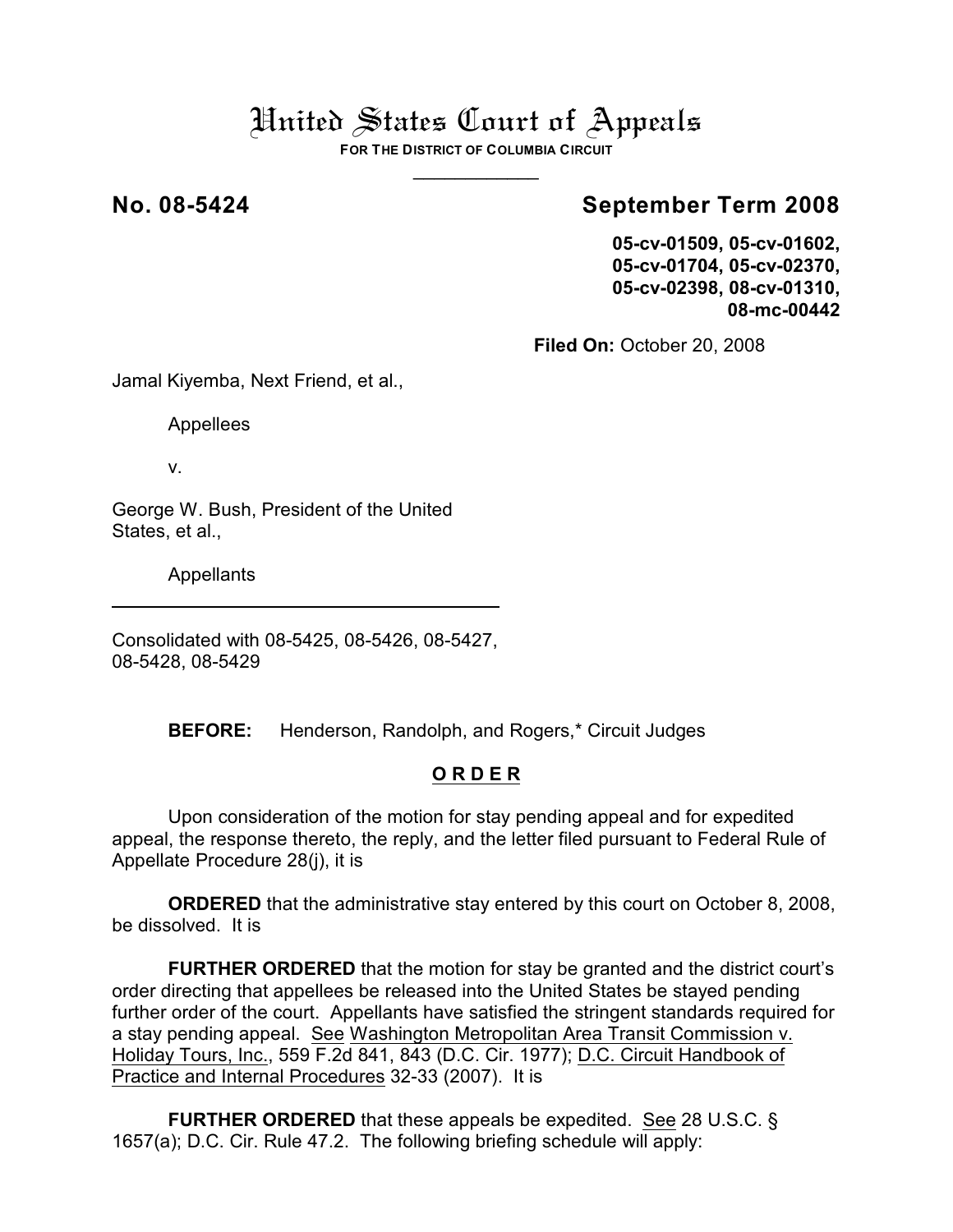# United States Court of Appeals

**FOR THE DISTRICT OF COLUMBIA CIRCUIT** \_\_\_\_\_\_\_\_\_\_\_\_

## **No. 08-5424 September Term 2008**

**05-cv-01509, 05-cv-01602, 05-cv-01704, 05-cv-02370, 05-cv-02398, 08-cv-01310, 08-mc-00442**

**Filed On:** October 20, 2008

Jamal Kiyemba, Next Friend, et al.,

Appellees

v.

George W. Bush, President of the United States, et al.,

Appellants

Consolidated with 08-5425, 08-5426, 08-5427, 08-5428, 08-5429

**BEFORE:** Henderson, Randolph, and Rogers,\* Circuit Judges

## **O R D E R**

Upon consideration of the motion for stay pending appeal and for expedited appeal, the response thereto, the reply, and the letter filed pursuant to Federal Rule of Appellate Procedure 28(j), it is

**ORDERED** that the administrative stay entered by this court on October 8, 2008, be dissolved. It is

**FURTHER ORDERED** that the motion for stay be granted and the district court's order directing that appellees be released into the United States be stayed pending further order of the court. Appellants have satisfied the stringent standards required for a stay pending appeal. See Washington Metropolitan Area Transit Commission v. Holiday Tours, Inc., 559 F.2d 841, 843 (D.C. Cir. 1977); D.C. Circuit Handbook of Practice and Internal Procedures 32-33 (2007). It is

**FURTHER ORDERED** that these appeals be expedited. See 28 U.S.C. § 1657(a); D.C. Cir. Rule 47.2. The following briefing schedule will apply: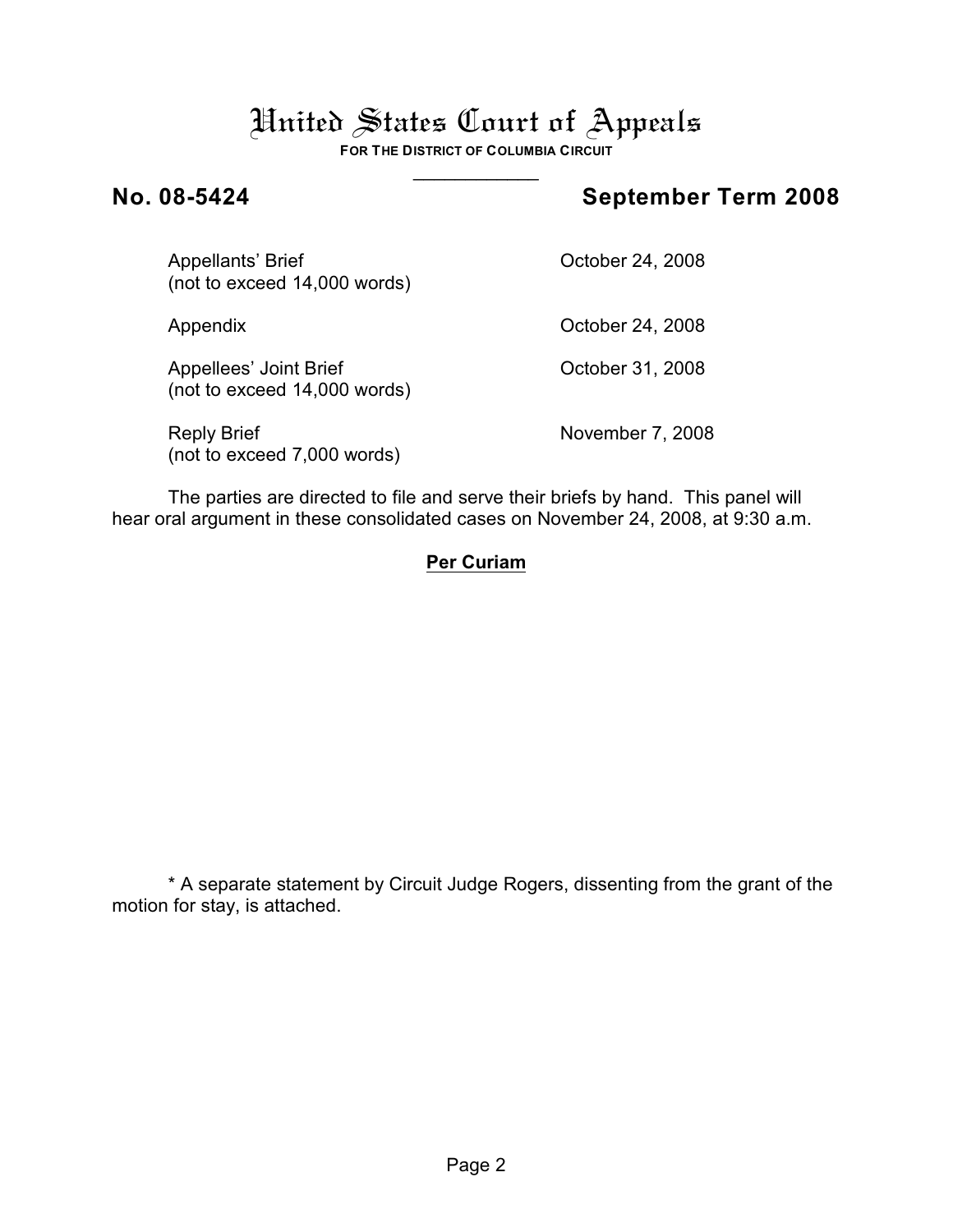# United States Court of Appeals

**FOR THE DISTRICT OF COLUMBIA CIRCUIT** \_\_\_\_\_\_\_\_\_\_\_\_

## **No. 08-5424 September Term 2008**

Appellants' Brief Contract Contract Contract October 24, 2008 (not to exceed 14,000 words)

| Appendix                                               | October 24, 2008 |
|--------------------------------------------------------|------------------|
| Appellees' Joint Brief<br>(not to exceed 14,000 words) | October 31, 2008 |
| <b>Reply Brief</b><br>(not to exceed 7,000 words)      | November 7, 2008 |

The parties are directed to file and serve their briefs by hand. This panel will hear oral argument in these consolidated cases on November 24, 2008, at 9:30 a.m.

## **Per Curiam**

\* A separate statement by Circuit Judge Rogers, dissenting from the grant of the motion for stay, is attached.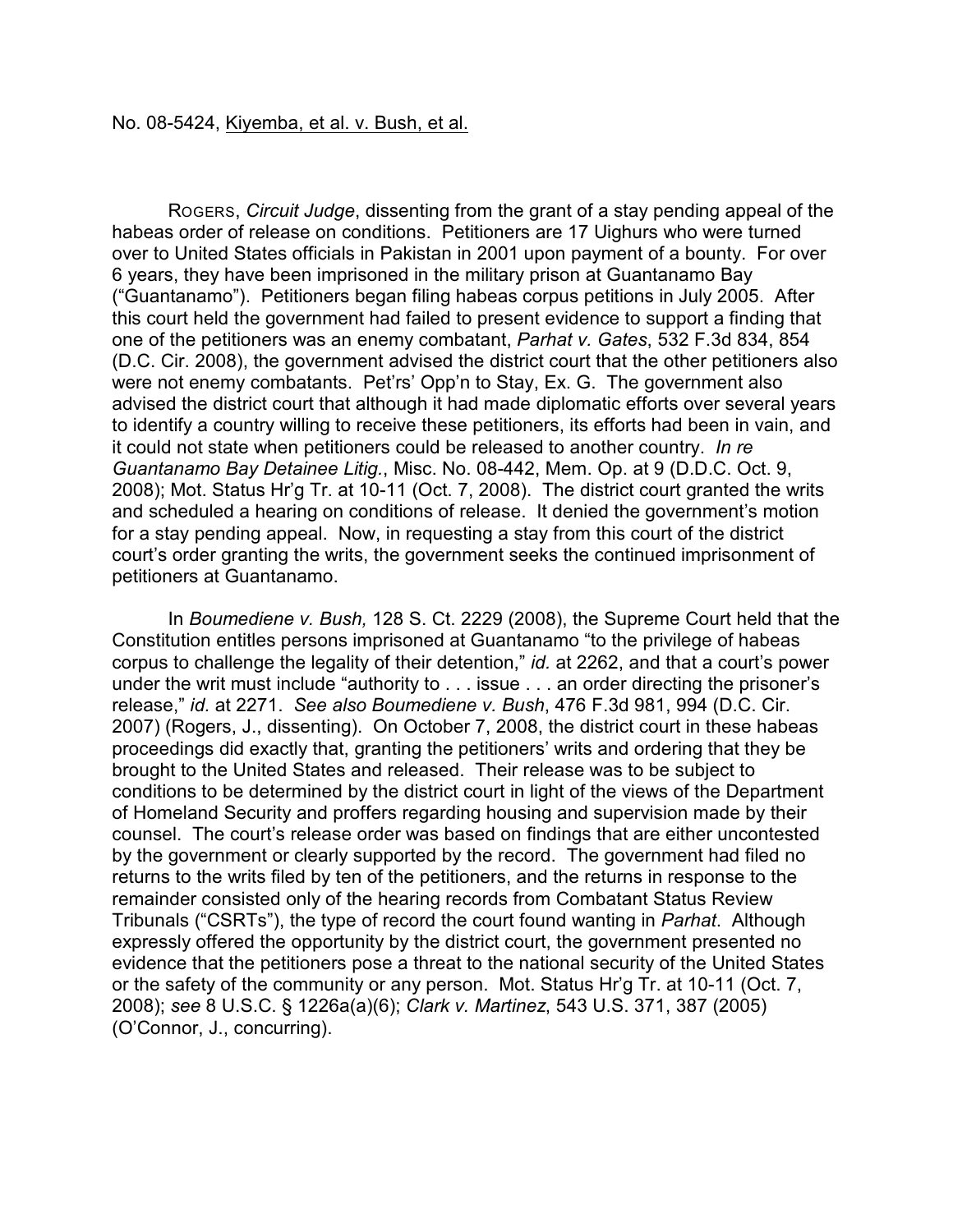ROGERS, *Circuit Judge*, dissenting from the grant of a stay pending appeal of the habeas order of release on conditions. Petitioners are 17 Uighurs who were turned over to United States officials in Pakistan in 2001 upon payment of a bounty. For over 6 years, they have been imprisoned in the military prison at Guantanamo Bay ("Guantanamo"). Petitioners began filing habeas corpus petitions in July 2005. After this court held the government had failed to present evidence to support a finding that one of the petitioners was an enemy combatant, *Parhat v. Gates*, 532 F.3d 834, 854 (D.C. Cir. 2008), the government advised the district court that the other petitioners also were not enemy combatants. Pet'rs' Opp'n to Stay, Ex. G. The government also advised the district court that although it had made diplomatic efforts over several years to identify a country willing to receive these petitioners, its efforts had been in vain, and it could not state when petitioners could be released to another country. *In re Guantanamo Bay Detainee Litig.*, Misc. No. 08-442, Mem. Op. at 9 (D.D.C. Oct. 9, 2008); Mot. Status Hr'g Tr. at 10-11 (Oct. 7, 2008). The district court granted the writs and scheduled a hearing on conditions of release. It denied the government's motion for a stay pending appeal. Now, in requesting a stay from this court of the district court's order granting the writs, the government seeks the continued imprisonment of petitioners at Guantanamo.

In *Boumediene v. Bush,* 128 S. Ct. 2229 (2008), the Supreme Court held that the Constitution entitles persons imprisoned at Guantanamo "to the privilege of habeas corpus to challenge the legality of their detention," *id.* at 2262, and that a court's power under the writ must include "authority to . . . issue . . . an order directing the prisoner's release," *id.* at 2271. *See also Boumediene v. Bush*, 476 F.3d 981, 994 (D.C. Cir. 2007) (Rogers, J., dissenting). On October 7, 2008, the district court in these habeas proceedings did exactly that, granting the petitioners' writs and ordering that they be brought to the United States and released. Their release was to be subject to conditions to be determined by the district court in light of the views of the Department of Homeland Security and proffers regarding housing and supervision made by their counsel. The court's release order was based on findings that are either uncontested by the government or clearly supported by the record. The government had filed no returns to the writs filed by ten of the petitioners, and the returns in response to the remainder consisted only of the hearing records from Combatant Status Review Tribunals ("CSRTs"), the type of record the court found wanting in *Parhat*. Although expressly offered the opportunity by the district court, the government presented no evidence that the petitioners pose a threat to the national security of the United States or the safety of the community or any person. Mot. Status Hr'g Tr. at 10-11 (Oct. 7, 2008); *see* 8 U.S.C. § 1226a(a)(6); *Clark v. Martinez*, 543 U.S. 371, 387 (2005) (O'Connor, J., concurring).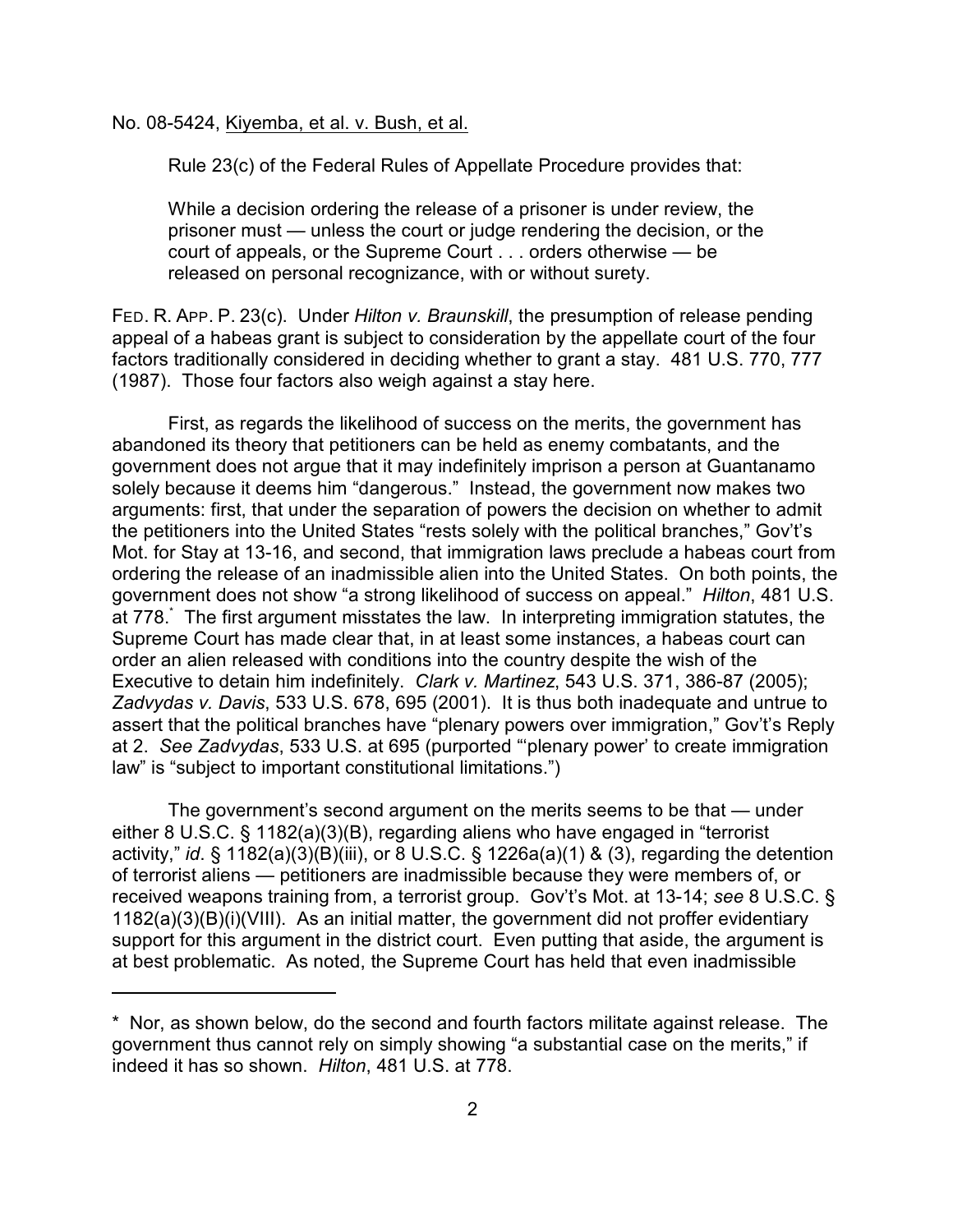No. 08-5424, Kiyemba, et al. v. Bush, et al.

Rule 23(c) of the Federal Rules of Appellate Procedure provides that:

While a decision ordering the release of a prisoner is under review, the prisoner must — unless the court or judge rendering the decision, or the court of appeals, or the Supreme Court . . . orders otherwise — be released on personal recognizance, with or without surety.

FED. R. APP. P. 23(c). Under *Hilton v. Braunskill*, the presumption of release pending appeal of a habeas grant is subject to consideration by the appellate court of the four factors traditionally considered in deciding whether to grant a stay. 481 U.S. 770, 777 (1987). Those four factors also weigh against a stay here.

First, as regards the likelihood of success on the merits, the government has abandoned its theory that petitioners can be held as enemy combatants, and the government does not argue that it may indefinitely imprison a person at Guantanamo solely because it deems him "dangerous." Instead, the government now makes two arguments: first, that under the separation of powers the decision on whether to admit the petitioners into the United States "rests solely with the political branches," Gov't's Mot. for Stay at 13-16, and second, that immigration laws preclude a habeas court from ordering the release of an inadmissible alien into the United States. On both points, the government does not show "a strong likelihood of success on appeal." *Hilton*, 481 U.S. at 778. The first argument misstates the law. In interpreting immigration statutes, the \* Supreme Court has made clear that, in at least some instances, a habeas court can order an alien released with conditions into the country despite the wish of the Executive to detain him indefinitely. *Clark v. Martinez*, 543 U.S. 371, 386-87 (2005); *Zadvydas v. Davis*, 533 U.S. 678, 695 (2001). It is thus both inadequate and untrue to assert that the political branches have "plenary powers over immigration," Gov't's Reply at 2. *See Zadvydas*, 533 U.S. at 695 (purported "'plenary power' to create immigration law" is "subject to important constitutional limitations.")

The government's second argument on the merits seems to be that — under either 8 U.S.C. § 1182(a)(3)(B), regarding aliens who have engaged in "terrorist activity," *id*. § 1182(a)(3)(B)(iii), or 8 U.S.C. § 1226a(a)(1) & (3), regarding the detention of terrorist aliens — petitioners are inadmissible because they were members of, or received weapons training from, a terrorist group. Gov't's Mot. at 13-14; *see* 8 U.S.C. § 1182(a)(3)(B)(i)(VIII). As an initial matter, the government did not proffer evidentiary support for this argument in the district court. Even putting that aside, the argument is at best problematic. As noted, the Supreme Court has held that even inadmissible

<sup>\*</sup> Nor, as shown below, do the second and fourth factors militate against release. The government thus cannot rely on simply showing "a substantial case on the merits," if indeed it has so shown. *Hilton*, 481 U.S. at 778.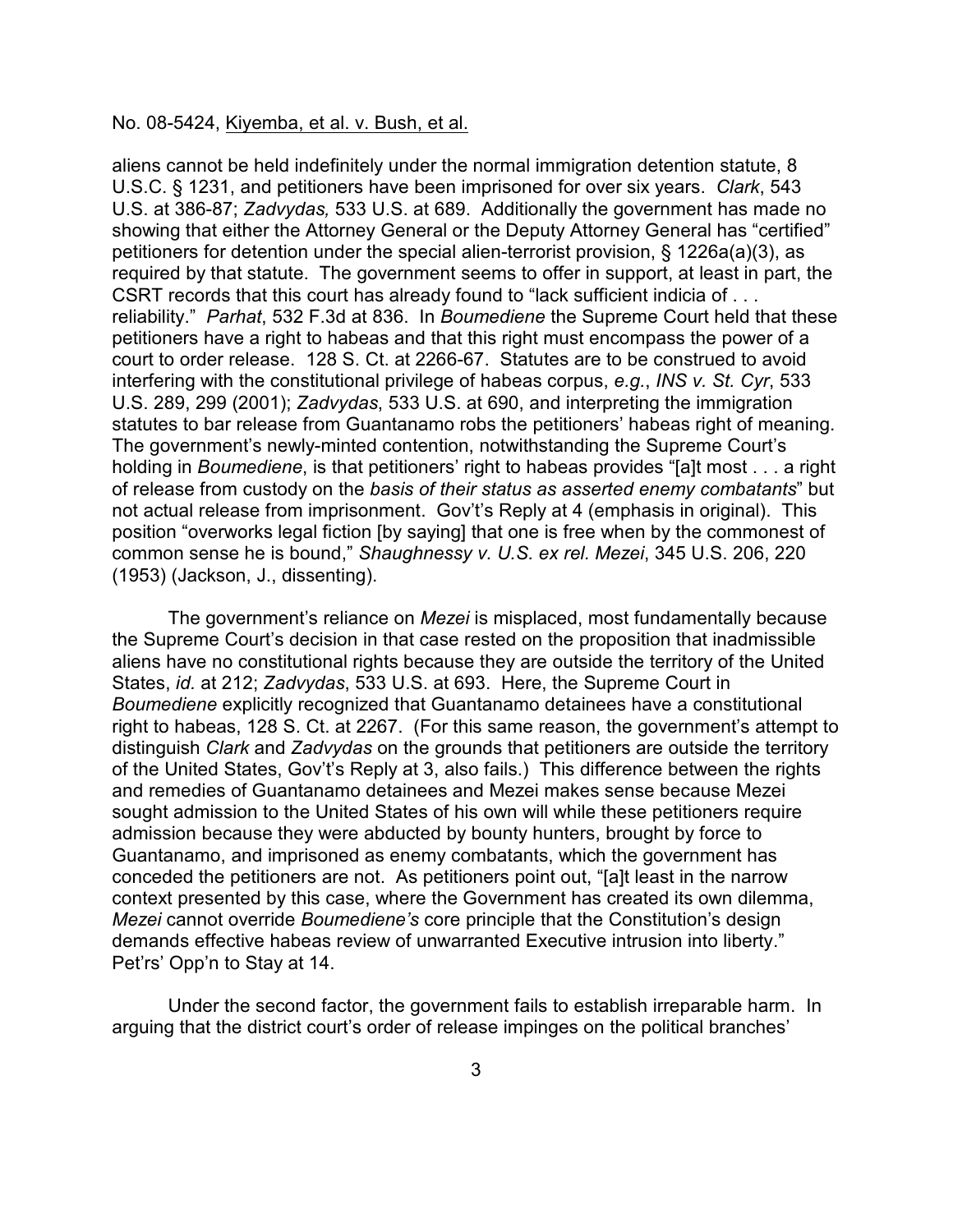### No. 08-5424, Kiyemba, et al. v. Bush, et al.

aliens cannot be held indefinitely under the normal immigration detention statute, 8 U.S.C. § 1231, and petitioners have been imprisoned for over six years. *Clark*, 543 U.S. at 386-87; *Zadvydas,* 533 U.S. at 689. Additionally the government has made no showing that either the Attorney General or the Deputy Attorney General has "certified" petitioners for detention under the special alien-terrorist provision, § 1226a(a)(3), as required by that statute. The government seems to offer in support, at least in part, the CSRT records that this court has already found to "lack sufficient indicia of . . . reliability." *Parhat*, 532 F.3d at 836. In *Boumediene* the Supreme Court held that these petitioners have a right to habeas and that this right must encompass the power of a court to order release. 128 S. Ct. at 2266-67. Statutes are to be construed to avoid interfering with the constitutional privilege of habeas corpus, *e.g.*, *INS v. St. Cyr*, 533 U.S. 289, 299 (2001); *Zadvydas*, 533 U.S. at 690, and interpreting the immigration statutes to bar release from Guantanamo robs the petitioners' habeas right of meaning. The government's newly-minted contention, notwithstanding the Supreme Court's holding in *Boumediene*, is that petitioners' right to habeas provides "[a]t most . . . a right of release from custody on the *basis of their status as asserted enemy combatants*" but not actual release from imprisonment. Gov't's Reply at 4 (emphasis in original). This position "overworks legal fiction [by saying] that one is free when by the commonest of common sense he is bound," *Shaughnessy v. U.S. ex rel. Mezei*, 345 U.S. 206, 220 (1953) (Jackson, J., dissenting).

The government's reliance on *Mezei* is misplaced, most fundamentally because the Supreme Court's decision in that case rested on the proposition that inadmissible aliens have no constitutional rights because they are outside the territory of the United States, *id.* at 212; *Zadvydas*, 533 U.S. at 693. Here, the Supreme Court in *Boumediene* explicitly recognized that Guantanamo detainees have a constitutional right to habeas, 128 S. Ct. at 2267. (For this same reason, the government's attempt to distinguish *Clark* and *Zadvydas* on the grounds that petitioners are outside the territory of the United States, Gov't's Reply at 3, also fails.) This difference between the rights and remedies of Guantanamo detainees and Mezei makes sense because Mezei sought admission to the United States of his own will while these petitioners require admission because they were abducted by bounty hunters, brought by force to Guantanamo, and imprisoned as enemy combatants, which the government has conceded the petitioners are not. As petitioners point out, "[a]t least in the narrow context presented by this case, where the Government has created its own dilemma, *Mezei* cannot override *Boumediene's* core principle that the Constitution's design demands effective habeas review of unwarranted Executive intrusion into liberty." Pet'rs' Opp'n to Stay at 14.

Under the second factor, the government fails to establish irreparable harm. In arguing that the district court's order of release impinges on the political branches'